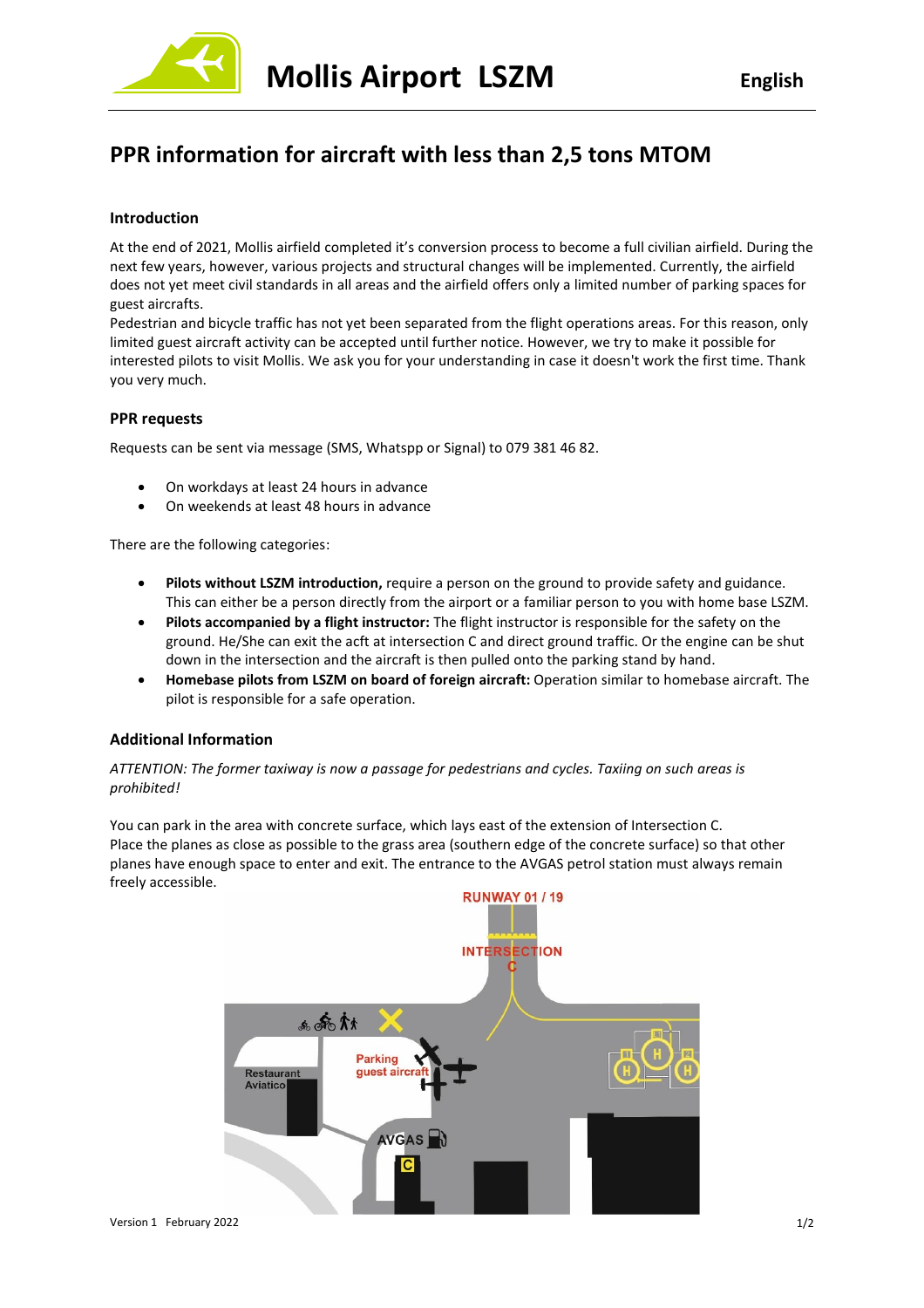

# **PPR information for aircraft with less than 2,5 tons MTOM**

## **Introduction**

At the end of 2021, Mollis airfield completed it's conversion process to become a full civilian airfield. During the next few years, however, various projects and structural changes will be implemented. Currently, the airfield does not yet meet civil standards in all areas and the airfield offers only a limited number of parking spaces for guest aircrafts.

Pedestrian and bicycle traffic has not yet been separated from the flight operations areas. For this reason, only limited guest aircraft activity can be accepted until further notice. However, we try to make it possible for interested pilots to visit Mollis. We ask you for your understanding in case it doesn't work the first time. Thank you very much.

### **PPR requests**

Requests can be sent via message (SMS, Whatspp or Signal) to 079 381 46 82.

- On workdays at least 24 hours in advance
- On weekends at least 48 hours in advance

There are the following categories:

- **Pilots without LSZM introduction,** require a person on the ground to provide safety and guidance. This can either be a person directly from the airport or a familiar person to you with home base LSZM.
- **Pilots accompanied by a flight instructor:** The flight instructor is responsible for the safety on the ground. He/She can exit the acft at intersection C and direct ground traffic. Or the engine can be shut down in the intersection and the aircraft is then pulled onto the parking stand by hand.
- **Homebase pilots from LSZM on board of foreign aircraft:** Operation similar to homebase aircraft. The pilot is responsible for a safe operation.

## **Additional Information**

*ATTENTION: The former taxiway is now a passage for pedestrians and cycles. Taxiing on such areas is prohibited!*

You can park in the area with concrete surface, which lays east of the extension of Intersection C. Place the planes as close as possible to the grass area (southern edge of the concrete surface) so that other planes have enough space to enter and exit. The entrance to the AVGAS petrol station must always remain freely accessible.